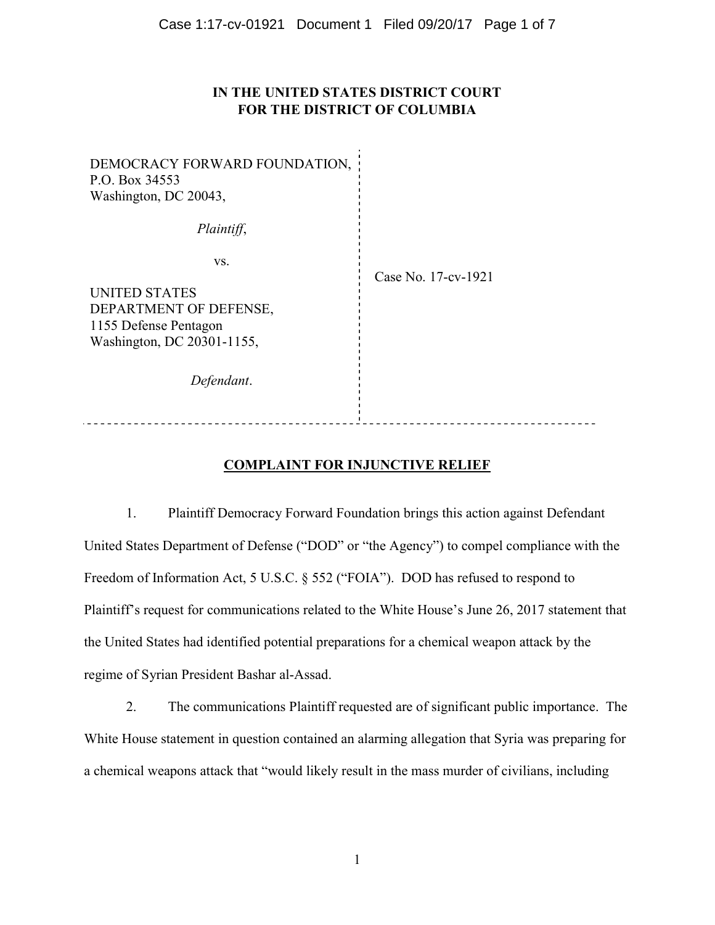## IN THE UNITED STATES DISTRICT COURT FOR THE DISTRICT OF COLUMBIA

| DEMOCRACY FORWARD FOUNDATION,<br>P.O. Box 34553<br>Washington, DC 20043,                              |                     |
|-------------------------------------------------------------------------------------------------------|---------------------|
| Plaintiff,                                                                                            |                     |
| VS.<br>UNITED STATES<br>DEPARTMENT OF DEFENSE,<br>1155 Defense Pentagon<br>Washington, DC 20301-1155, | Case No. 17-cv-1921 |
| Defendant.                                                                                            |                     |
|                                                                                                       |                     |

## COMPLAINT FOR INJUNCTIVE RELIEF

1. Plaintiff Democracy Forward Foundation brings this action against Defendant United States Department of Defense ("DOD" or "the Agency") to compel compliance with the Freedom of Information Act, 5 U.S.C. § 552 ("FOIA"). DOD has refused to respond to Plaintiff's request for communications related to the White House's June 26, 2017 statement that the United States had identified potential preparations for a chemical weapon attack by the regime of Syrian President Bashar al-Assad.

2. The communications Plaintiff requested are of significant public importance. The White House statement in question contained an alarming allegation that Syria was preparing for a chemical weapons attack that "would likely result in the mass murder of civilians, including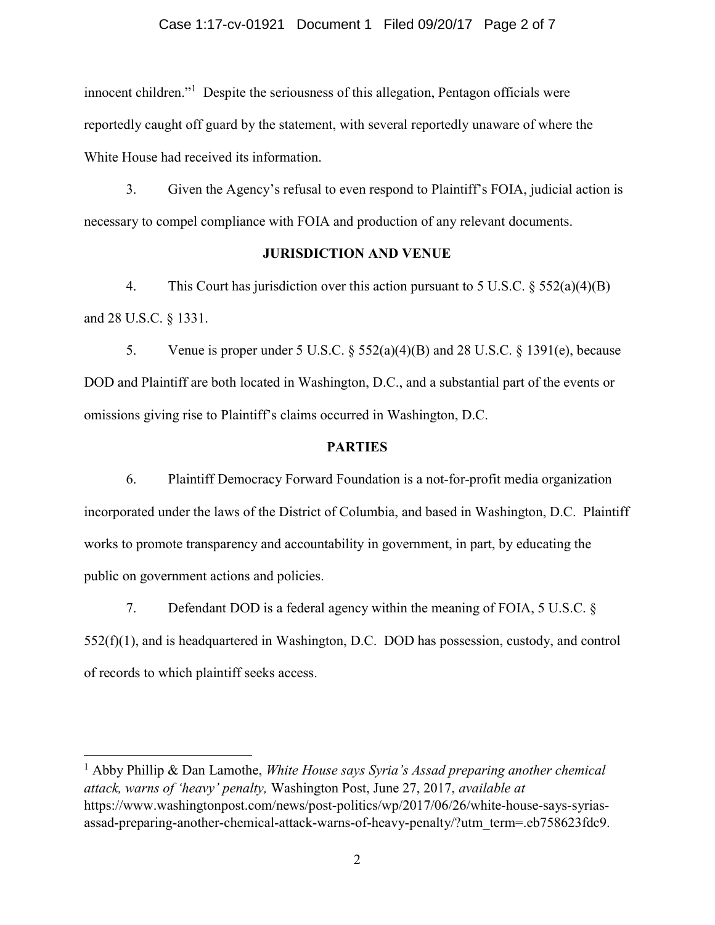#### Case 1:17-cv-01921 Document 1 Filed 09/20/17 Page 2 of 7

innocent children."<sup>1</sup> Despite the seriousness of this allegation, Pentagon officials were reportedly caught off guard by the statement, with several reportedly unaware of where the White House had received its information.

3. Given the Agency's refusal to even respond to Plaintiff's FOIA, judicial action is necessary to compel compliance with FOIA and production of any relevant documents.

### JURISDICTION AND VENUE

4. This Court has jurisdiction over this action pursuant to 5 U.S.C. § 552(a)(4)(B) and 28 U.S.C. § 1331.

5. Venue is proper under 5 U.S.C.  $\frac{552(a)(4)(B)}{B}$  and 28 U.S.C.  $\frac{51391(e)}{B}$ , because DOD and Plaintiff are both located in Washington, D.C., and a substantial part of the events or omissions giving rise to Plaintiff's claims occurred in Washington, D.C.

### PARTIES

6. Plaintiff Democracy Forward Foundation is a not-for-profit media organization incorporated under the laws of the District of Columbia, and based in Washington, D.C. Plaintiff works to promote transparency and accountability in government, in part, by educating the public on government actions and policies.

7. Defendant DOD is a federal agency within the meaning of FOIA, 5 U.S.C. § 552(f)(1), and is headquartered in Washington, D.C. DOD has possession, custody, and control of records to which plaintiff seeks access.

 $\overline{a}$ 

<sup>&</sup>lt;sup>1</sup> Abby Phillip & Dan Lamothe, *White House says Syria's Assad preparing another chemical* attack, warns of 'heavy' penalty, Washington Post, June 27, 2017, available at https://www.washingtonpost.com/news/post-politics/wp/2017/06/26/white-house-says-syriasassad-preparing-another-chemical-attack-warns-of-heavy-penalty/?utm\_term=.eb758623fdc9.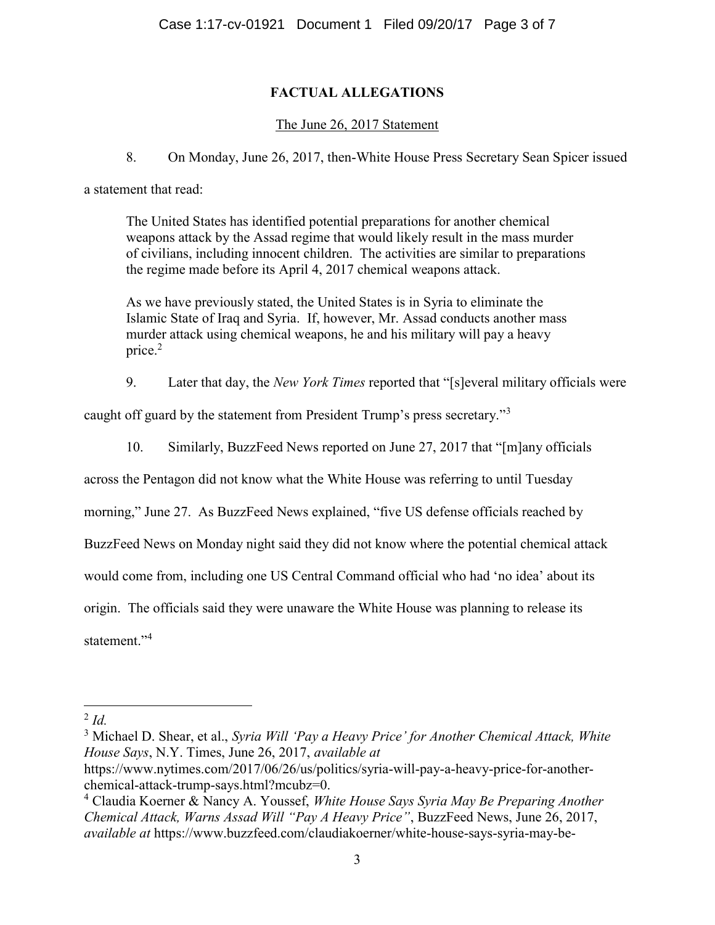# FACTUAL ALLEGATIONS

## The June 26, 2017 Statement

8. On Monday, June 26, 2017, then-White House Press Secretary Sean Spicer issued

a statement that read:

The United States has identified potential preparations for another chemical weapons attack by the Assad regime that would likely result in the mass murder of civilians, including innocent children. The activities are similar to preparations the regime made before its April 4, 2017 chemical weapons attack.

As we have previously stated, the United States is in Syria to eliminate the Islamic State of Iraq and Syria. If, however, Mr. Assad conducts another mass murder attack using chemical weapons, he and his military will pay a heavy price. $2$ 

9. Later that day, the New York Times reported that "[s]everal military officials were

caught off guard by the statement from President Trump's press secretary."<sup>3</sup>

10. Similarly, BuzzFeed News reported on June 27, 2017 that "[m]any officials

across the Pentagon did not know what the White House was referring to until Tuesday

morning," June 27. As BuzzFeed News explained, "five US defense officials reached by

BuzzFeed News on Monday night said they did not know where the potential chemical attack

would come from, including one US Central Command official who had 'no idea' about its

origin. The officials said they were unaware the White House was planning to release its

statement."<sup>4</sup>

 $\overline{a}$ 

 $2$  Id.

<sup>&</sup>lt;sup>3</sup> Michael D. Shear, et al., Syria Will 'Pay a Heavy Price' for Another Chemical Attack, White House Says, N.Y. Times, June 26, 2017, available at

https://www.nytimes.com/2017/06/26/us/politics/syria-will-pay-a-heavy-price-for-anotherchemical-attack-trump-says.html?mcubz=0.

<sup>&</sup>lt;sup>4</sup> Claudia Koerner & Nancy A. Youssef, White House Says Syria May Be Preparing Another Chemical Attack, Warns Assad Will "Pay A Heavy Price", BuzzFeed News, June 26, 2017, available at https://www.buzzfeed.com/claudiakoerner/white-house-says-syria-may-be-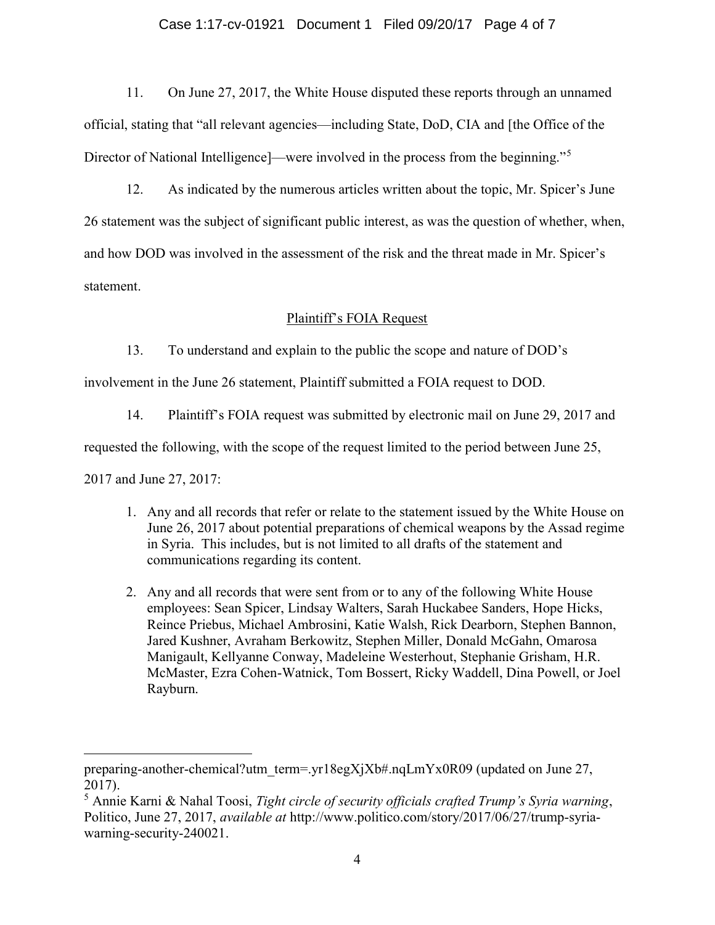### Case 1:17-cv-01921 Document 1 Filed 09/20/17 Page 4 of 7

11. On June 27, 2017, the White House disputed these reports through an unnamed official, stating that "all relevant agencies—including State, DoD, CIA and [the Office of the Director of National Intelligence —were involved in the process from the beginning."<sup>5</sup>

12. As indicated by the numerous articles written about the topic, Mr. Spicer's June 26 statement was the subject of significant public interest, as was the question of whether, when, and how DOD was involved in the assessment of the risk and the threat made in Mr. Spicer's statement.

### Plaintiff's FOIA Request

13. To understand and explain to the public the scope and nature of DOD's

involvement in the June 26 statement, Plaintiff submitted a FOIA request to DOD.

14. Plaintiff's FOIA request was submitted by electronic mail on June 29, 2017 and

requested the following, with the scope of the request limited to the period between June 25,

2017 and June 27, 2017:

- 1. Any and all records that refer or relate to the statement issued by the White House on June 26, 2017 about potential preparations of chemical weapons by the Assad regime in Syria. This includes, but is not limited to all drafts of the statement and communications regarding its content.
- 2. Any and all records that were sent from or to any of the following White House employees: Sean Spicer, Lindsay Walters, Sarah Huckabee Sanders, Hope Hicks, Reince Priebus, Michael Ambrosini, Katie Walsh, Rick Dearborn, Stephen Bannon, Jared Kushner, Avraham Berkowitz, Stephen Miller, Donald McGahn, Omarosa Manigault, Kellyanne Conway, Madeleine Westerhout, Stephanie Grisham, H.R. McMaster, Ezra Cohen-Watnick, Tom Bossert, Ricky Waddell, Dina Powell, or Joel Rayburn.

preparing-another-chemical?utm\_term=.yr18egXjXb#.nqLmYx0R09 (updated on June 27, 2017).

<sup>&</sup>lt;sup>5</sup> Annie Karni & Nahal Toosi, *Tight circle of security officials crafted Trump's Syria warning*, Politico, June 27, 2017, available at http://www.politico.com/story/2017/06/27/trump-syriawarning-security-240021.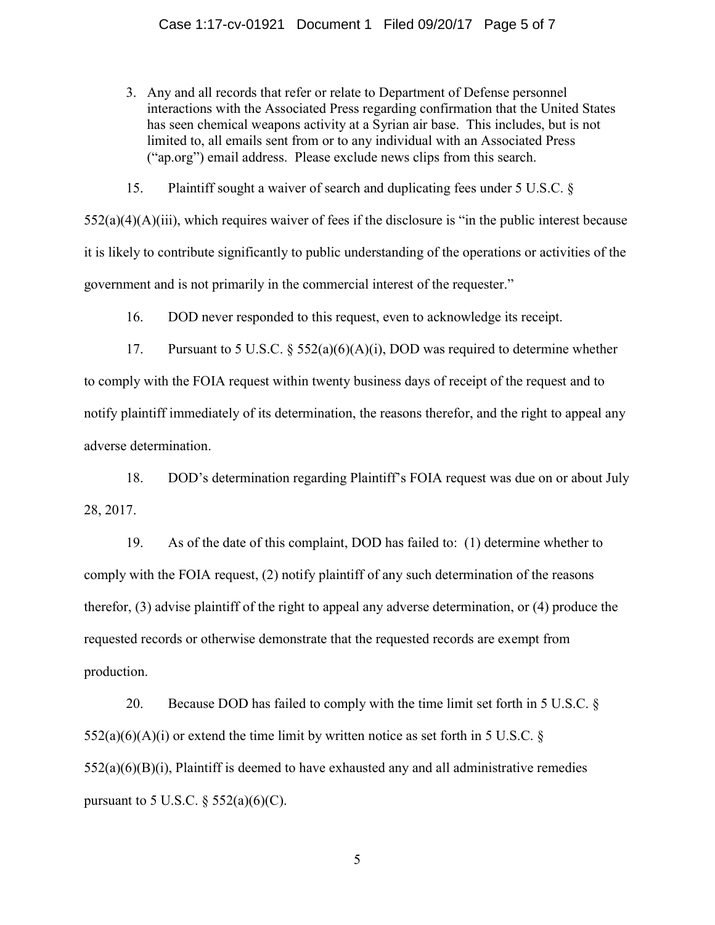3. Any and all records that refer or relate to Department of Defense personnel interactions with the Associated Press regarding confirmation that the United States has seen chemical weapons activity at a Syrian air base. This includes, but is not limited to, all emails sent from or to any individual with an Associated Press ("ap.org") email address. Please exclude news clips from this search.

15. Plaintiff sought a waiver of search and duplicating fees under 5 U.S.C. §

 $552(a)(4)(A)(iii)$ , which requires waiver of fees if the disclosure is "in the public interest because it is likely to contribute significantly to public understanding of the operations or activities of the government and is not primarily in the commercial interest of the requester."

16. DOD never responded to this request, even to acknowledge its receipt.

17. Pursuant to 5 U.S.C.  $\S$  552(a)(6)(A)(i), DOD was required to determine whether to comply with the FOIA request within twenty business days of receipt of the request and to notify plaintiff immediately of its determination, the reasons therefor, and the right to appeal any adverse determination.

18. DOD's determination regarding Plaintiff's FOIA request was due on or about July 28, 2017.

19. As of the date of this complaint, DOD has failed to: (1) determine whether to comply with the FOIA request, (2) notify plaintiff of any such determination of the reasons therefor, (3) advise plaintiff of the right to appeal any adverse determination, or (4) produce the requested records or otherwise demonstrate that the requested records are exempt from production.

20. Because DOD has failed to comply with the time limit set forth in 5 U.S.C. §  $552(a)(6)(A)(i)$  or extend the time limit by written notice as set forth in 5 U.S.C. §  $552(a)(6)(B)(i)$ , Plaintiff is deemed to have exhausted any and all administrative remedies pursuant to 5 U.S.C.  $\S$  552(a)(6)(C).

5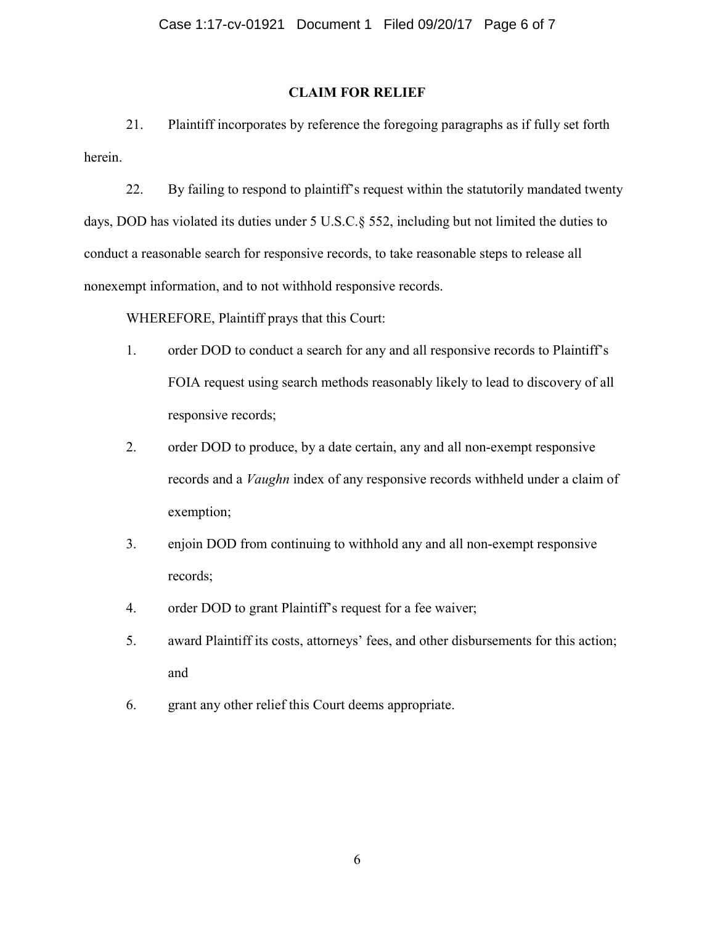### CLAIM FOR RELIEF

21. Plaintiff incorporates by reference the foregoing paragraphs as if fully set forth herein.

22. By failing to respond to plaintiff's request within the statutorily mandated twenty days, DOD has violated its duties under 5 U.S.C.§ 552, including but not limited the duties to conduct a reasonable search for responsive records, to take reasonable steps to release all nonexempt information, and to not withhold responsive records.

WHEREFORE, Plaintiff prays that this Court:

- 1. order DOD to conduct a search for any and all responsive records to Plaintiff's FOIA request using search methods reasonably likely to lead to discovery of all responsive records;
- 2. order DOD to produce, by a date certain, any and all non-exempt responsive records and a Vaughn index of any responsive records withheld under a claim of exemption;
- 3. enjoin DOD from continuing to withhold any and all non-exempt responsive records;
- 4. order DOD to grant Plaintiff's request for a fee waiver;
- 5. award Plaintiff its costs, attorneys' fees, and other disbursements for this action; and
- 6. grant any other relief this Court deems appropriate.